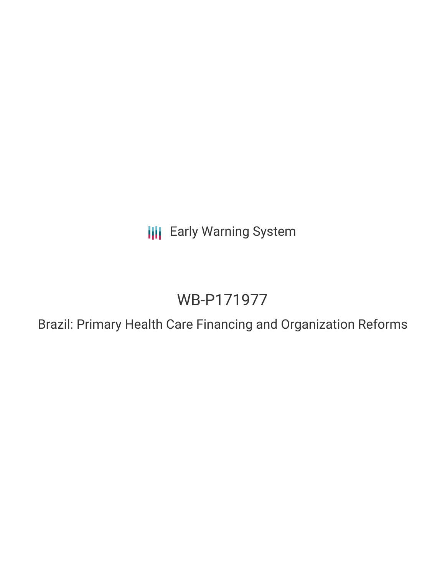**III** Early Warning System

# WB-P171977

Brazil: Primary Health Care Financing and Organization Reforms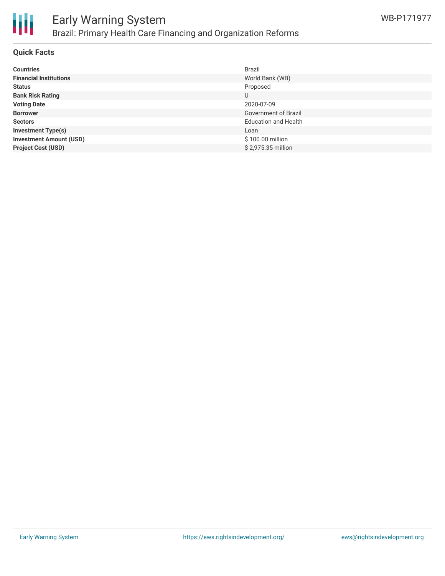

#### **Quick Facts**

| <b>Countries</b>               | <b>Brazil</b>               |
|--------------------------------|-----------------------------|
| <b>Financial Institutions</b>  | World Bank (WB)             |
| <b>Status</b>                  | Proposed                    |
| <b>Bank Risk Rating</b>        | U                           |
| <b>Voting Date</b>             | 2020-07-09                  |
| <b>Borrower</b>                | Government of Brazil        |
| <b>Sectors</b>                 | <b>Education and Health</b> |
| <b>Investment Type(s)</b>      | Loan                        |
| <b>Investment Amount (USD)</b> | \$100.00 million            |
| <b>Project Cost (USD)</b>      | \$2,975.35 million          |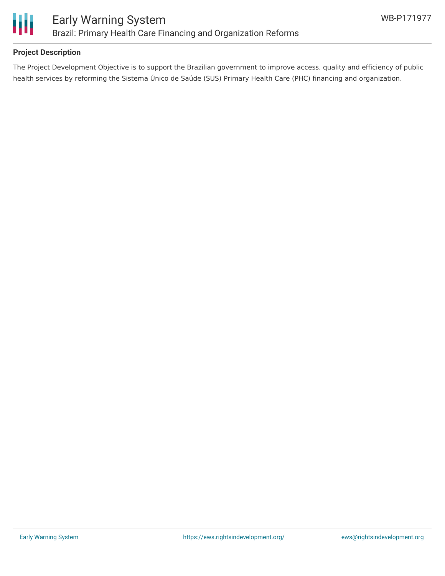

## **Project Description**

The Project Development Objective is to support the Brazilian government to improve access, quality and efficiency of public health services by reforming the Sistema Único de Saúde (SUS) Primary Health Care (PHC) financing and organization.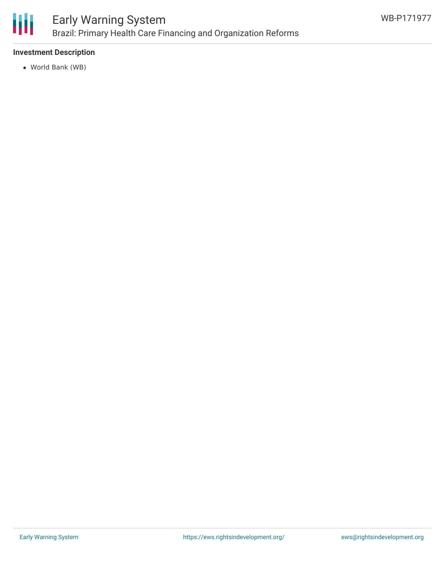

## **Investment Description**

World Bank (WB)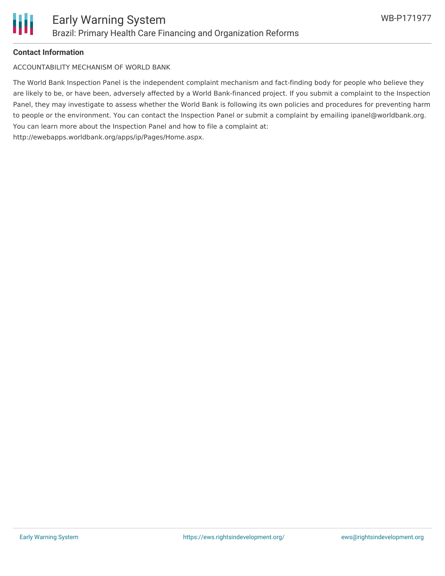

#### **Contact Information**

ACCOUNTABILITY MECHANISM OF WORLD BANK

The World Bank Inspection Panel is the independent complaint mechanism and fact-finding body for people who believe they are likely to be, or have been, adversely affected by a World Bank-financed project. If you submit a complaint to the Inspection Panel, they may investigate to assess whether the World Bank is following its own policies and procedures for preventing harm to people or the environment. You can contact the Inspection Panel or submit a complaint by emailing ipanel@worldbank.org. You can learn more about the Inspection Panel and how to file a complaint at: http://ewebapps.worldbank.org/apps/ip/Pages/Home.aspx.